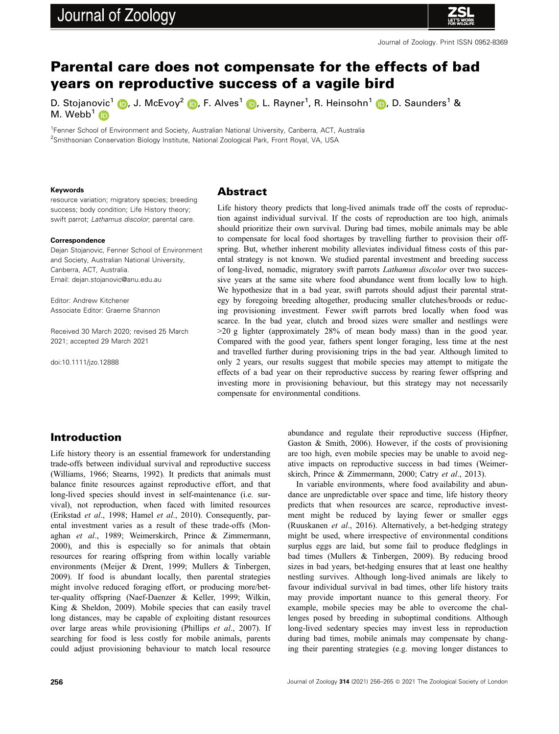# Journal of Zoology



Journal of Zoology. Print ISSN 0952-8369

## Parental care does not compensate for the effects of bad years on reproductive success of a vagile bird

D. Stojanovic<sup>[1](https://orcid.org/0000-0002-1176-3244)</sup> (D. J. McEvoy<sup>2</sup> (D. F. Alves<sup>1</sup> (D. L. Rayner<sup>1</sup>, R. Heinsohn<sup>1</sup> (D. D. Saunders<sup>1</sup> & M. Webb<sup>[1](https://orcid.org/0000-0001-6806-6098)</sup>

<sup>1</sup> Fenner School of Environment and Society, Australian National University, Canberra, ACT, Australia <sup>2</sup>Smithsonian Conservation Biology Institute, National Zoological Park, Front Royal, VA, USA

#### Keywords

resource variation; migratory species; breeding success; body condition; Life History theory; swift parrot; Lathamus discolor; parental care.

#### **Correspondence**

Dejan Stojanovic, Fenner School of Environment and Society, Australian National University, Canberra, ACT, Australia. Email: [dejan.stojanovic@anu.edu.au](mailto:)

Editor: Andrew Kitchener Associate Editor: Graeme Shannon

Received 30 March 2020; revised 25 March 2021; accepted 29 March 2021

doi:10.1111/jzo.12888

#### Abstract

Life history theory predicts that long-lived animals trade off the costs of reproduction against individual survival. If the costs of reproduction are too high, animals should prioritize their own survival. During bad times, mobile animals may be able to compensate for local food shortages by travelling further to provision their offspring. But, whether inherent mobility alleviates individual fitness costs of this parental strategy is not known. We studied parental investment and breeding success of long-lived, nomadic, migratory swift parrots Lathamus discolor over two successive years at the same site where food abundance went from locally low to high. We hypothesize that in a bad year, swift parrots should adjust their parental strategy by foregoing breeding altogether, producing smaller clutches/broods or reducing provisioning investment. Fewer swift parrots bred locally when food was scarce. In the bad year, clutch and brood sizes were smaller and nestlings were >20 g lighter (approximately 28% of mean body mass) than in the good year. Compared with the good year, fathers spent longer foraging, less time at the nest and travelled further during provisioning trips in the bad year. Although limited to only 2 years, our results suggest that mobile species may attempt to mitigate the effects of a bad year on their reproductive success by rearing fewer offspring and investing more in provisioning behaviour, but this strategy may not necessarily compensate for environmental conditions.

## Introduction

Life history theory is an essential framework for understanding trade-offs between individual survival and reproductive success (Williams, 1966; Stearns, 1992). It predicts that animals must balance finite resources against reproductive effort, and that long-lived species should invest in self-maintenance (i.e. survival), not reproduction, when faced with limited resources (Erikstad et al., 1998; Hamel et al., 2010). Consequently, parental investment varies as a result of these trade-offs (Monaghan et al., 1989; Weimerskirch, Prince & Zimmermann, 2000), and this is especially so for animals that obtain resources for rearing offspring from within locally variable environments (Meijer & Drent, 1999; Mullers & Tinbergen, 2009). If food is abundant locally, then parental strategies might involve reduced foraging effort, or producing more/better-quality offspring (Naef-Daenzer & Keller, 1999; Wilkin, King & Sheldon, 2009). Mobile species that can easily travel long distances, may be capable of exploiting distant resources over large areas while provisioning (Phillips et al., 2007). If searching for food is less costly for mobile animals, parents could adjust provisioning behaviour to match local resource abundance and regulate their reproductive success (Hipfner, Gaston & Smith, 2006). However, if the costs of provisioning are too high, even mobile species may be unable to avoid negative impacts on reproductive success in bad times (Weimerskirch, Prince & Zimmermann, 2000; Catry et al., 2013).

In variable environments, where food availability and abundance are unpredictable over space and time, life history theory predicts that when resources are scarce, reproductive investment might be reduced by laying fewer or smaller eggs (Ruuskanen et al., 2016). Alternatively, a bet-hedging strategy might be used, where irrespective of environmental conditions surplus eggs are laid, but some fail to produce fledglings in bad times (Mullers & Tinbergen, 2009). By reducing brood sizes in bad years, bet-hedging ensures that at least one healthy nestling survives. Although long-lived animals are likely to favour individual survival in bad times, other life history traits may provide important nuance to this general theory. For example, mobile species may be able to overcome the challenges posed by breeding in suboptimal conditions. Although long-lived sedentary species may invest less in reproduction during bad times, mobile animals may compensate by changing their parenting strategies (e.g. moving longer distances to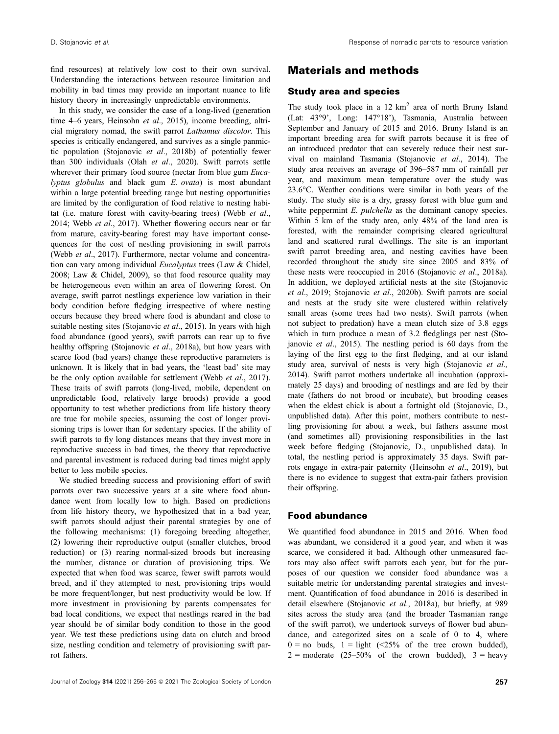find resources) at relatively low cost to their own survival. Understanding the interactions between resource limitation and mobility in bad times may provide an important nuance to life history theory in increasingly unpredictable environments.

In this study, we consider the case of a long-lived (generation time 4–6 years, Heinsohn et al., 2015), income breeding, altricial migratory nomad, the swift parrot Lathamus discolor. This species is critically endangered, and survives as a single panmictic population (Stojanovic et al., 2018b) of potentially fewer than 300 individuals (Olah et al., 2020). Swift parrots settle wherever their primary food source (nectar from blue gum Eucalyptus globulus and black gum E. ovata) is most abundant within a large potential breeding range but nesting opportunities are limited by the configuration of food relative to nesting habitat (i.e. mature forest with cavity-bearing trees) (Webb et al., 2014; Webb et al., 2017). Whether flowering occurs near or far from mature, cavity-bearing forest may have important consequences for the cost of nestling provisioning in swift parrots (Webb et al., 2017). Furthermore, nectar volume and concentration can vary among individual Eucalyptus trees (Law & Chidel, 2008; Law & Chidel, 2009), so that food resource quality may be heterogeneous even within an area of flowering forest. On average, swift parrot nestlings experience low variation in their body condition before fledging irrespective of where nesting occurs because they breed where food is abundant and close to suitable nesting sites (Stojanovic et al., 2015). In years with high food abundance (good years), swift parrots can rear up to five healthy offspring (Stojanovic et al., 2018a), but how years with scarce food (bad years) change these reproductive parameters is unknown. It is likely that in bad years, the 'least bad' site may be the only option available for settlement (Webb et al., 2017). These traits of swift parrots (long-lived, mobile, dependent on unpredictable food, relatively large broods) provide a good opportunity to test whether predictions from life history theory are true for mobile species, assuming the cost of longer provisioning trips is lower than for sedentary species. If the ability of swift parrots to fly long distances means that they invest more in reproductive success in bad times, the theory that reproductive and parental investment is reduced during bad times might apply better to less mobile species.

We studied breeding success and provisioning effort of swift parrots over two successive years at a site where food abundance went from locally low to high. Based on predictions from life history theory, we hypothesized that in a bad year, swift parrots should adjust their parental strategies by one of the following mechanisms: (1) foregoing breeding altogether, (2) lowering their reproductive output (smaller clutches, brood reduction) or (3) rearing normal-sized broods but increasing the number, distance or duration of provisioning trips. We expected that when food was scarce, fewer swift parrots would breed, and if they attempted to nest, provisioning trips would be more frequent/longer, but nest productivity would be low. If more investment in provisioning by parents compensates for bad local conditions, we expect that nestlings reared in the bad year should be of similar body condition to those in the good year. We test these predictions using data on clutch and brood size, nestling condition and telemetry of provisioning swift parrot fathers.

## Materials and methods

#### Study area and species

The study took place in a  $12 \text{ km}^2$  area of north Bruny Island (Lat: 43°9', Long: 147°18'), Tasmania, Australia between September and January of 2015 and 2016. Bruny Island is an important breeding area for swift parrots because it is free of an introduced predator that can severely reduce their nest survival on mainland Tasmania (Stojanovic et al., 2014). The study area receives an average of 396–587 mm of rainfall per year, and maximum mean temperature over the study was 23.6°C. Weather conditions were similar in both years of the study. The study site is a dry, grassy forest with blue gum and white peppermint *E. pulchella* as the dominant canopy species. Within 5 km of the study area, only 48% of the land area is forested, with the remainder comprising cleared agricultural land and scattered rural dwellings. The site is an important swift parrot breeding area, and nesting cavities have been recorded throughout the study site since 2005 and 83% of these nests were reoccupied in 2016 (Stojanovic et al., 2018a). In addition, we deployed artificial nests at the site (Stojanovic et al., 2019; Stojanovic et al., 2020b). Swift parrots are social and nests at the study site were clustered within relatively small areas (some trees had two nests). Swift parrots (when not subject to predation) have a mean clutch size of 3.8 eggs which in turn produce a mean of 3.2 fledglings per nest (Stojanovic et al., 2015). The nestling period is 60 days from the laying of the first egg to the first fledging, and at our island study area, survival of nests is very high (Stojanovic et al., 2014). Swift parrot mothers undertake all incubation (approximately 25 days) and brooding of nestlings and are fed by their mate (fathers do not brood or incubate), but brooding ceases when the eldest chick is about a fortnight old (Stojanovic, D., unpublished data). After this point, mothers contribute to nestling provisioning for about a week, but fathers assume most (and sometimes all) provisioning responsibilities in the last week before fledging (Stojanovic, D., unpublished data). In total, the nestling period is approximately 35 days. Swift parrots engage in extra-pair paternity (Heinsohn et al., 2019), but there is no evidence to suggest that extra-pair fathers provision their offspring.

#### Food abundance

We quantified food abundance in 2015 and 2016. When food was abundant, we considered it a good year, and when it was scarce, we considered it bad. Although other unmeasured factors may also affect swift parrots each year, but for the purposes of our question we consider food abundance was a suitable metric for understanding parental strategies and investment. Quantification of food abundance in 2016 is described in detail elsewhere (Stojanovic et al., 2018a), but briefly, at 989 sites across the study area (and the broader Tasmanian range of the swift parrot), we undertook surveys of flower bud abundance, and categorized sites on a scale of 0 to 4, where  $0 =$  no buds,  $1 =$  light (<25% of the tree crown budded),  $2 =$  moderate (25–50% of the crown budded),  $3 =$  heavy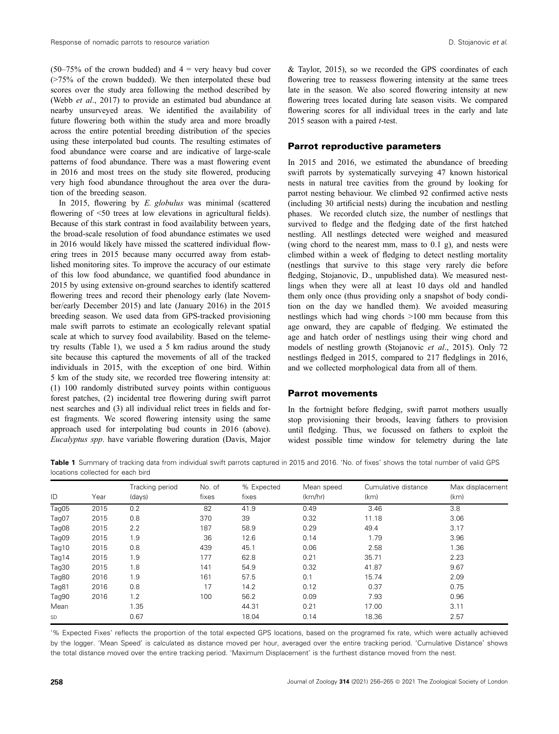$(50-75\%$  of the crown budded) and  $4 =$  very heavy bud cover (>75% of the crown budded). We then interpolated these bud scores over the study area following the method described by (Webb et al., 2017) to provide an estimated bud abundance at nearby unsurveyed areas. We identified the availability of future flowering both within the study area and more broadly across the entire potential breeding distribution of the species using these interpolated bud counts. The resulting estimates of food abundance were coarse and are indicative of large-scale patterns of food abundance. There was a mast flowering event in 2016 and most trees on the study site flowered, producing very high food abundance throughout the area over the duration of the breeding season.

In 2015, flowering by E. globulus was minimal (scattered flowering of <50 trees at low elevations in agricultural fields). Because of this stark contrast in food availability between years, the broad-scale resolution of food abundance estimates we used in 2016 would likely have missed the scattered individual flowering trees in 2015 because many occurred away from established monitoring sites. To improve the accuracy of our estimate of this low food abundance, we quantified food abundance in 2015 by using extensive on-ground searches to identify scattered flowering trees and record their phenology early (late November/early December 2015) and late (January 2016) in the 2015 breeding season. We used data from GPS-tracked provisioning male swift parrots to estimate an ecologically relevant spatial scale at which to survey food availability. Based on the telemetry results (Table 1), we used a 5 km radius around the study site because this captured the movements of all of the tracked individuals in 2015, with the exception of one bird. Within 5 km of the study site, we recorded tree flowering intensity at: (1) 100 randomly distributed survey points within contiguous forest patches, (2) incidental tree flowering during swift parrot nest searches and (3) all individual relict trees in fields and forest fragments. We scored flowering intensity using the same approach used for interpolating bud counts in 2016 (above). Eucalyptus spp. have variable flowering duration (Davis, Major

& Taylor, 2015), so we recorded the GPS coordinates of each flowering tree to reassess flowering intensity at the same trees late in the season. We also scored flowering intensity at new flowering trees located during late season visits. We compared flowering scores for all individual trees in the early and late 2015 season with a paired  $t$ -test.

#### Parrot reproductive parameters

In 2015 and 2016, we estimated the abundance of breeding swift parrots by systematically surveying 47 known historical nests in natural tree cavities from the ground by looking for parrot nesting behaviour. We climbed 92 confirmed active nests (including 30 artificial nests) during the incubation and nestling phases. We recorded clutch size, the number of nestlings that survived to fledge and the fledging date of the first hatched nestling. All nestlings detected were weighed and measured (wing chord to the nearest mm, mass to 0.1 g), and nests were climbed within a week of fledging to detect nestling mortality (nestlings that survive to this stage very rarely die before fledging, Stojanovic, D., unpublished data). We measured nestlings when they were all at least 10 days old and handled them only once (thus providing only a snapshot of body condition on the day we handled them). We avoided measuring nestlings which had wing chords >100 mm because from this age onward, they are capable of fledging. We estimated the age and hatch order of nestlings using their wing chord and models of nestling growth (Stojanovic et al., 2015). Only 72 nestlings fledged in 2015, compared to 217 fledglings in 2016, and we collected morphological data from all of them.

#### Parrot movements

In the fortnight before fledging, swift parrot mothers usually stop provisioning their broods, leaving fathers to provision until fledging. Thus, we focussed on fathers to exploit the widest possible time window for telemetry during the late

Table 1 Summary of tracking data from individual swift parrots captured in 2015 and 2016. 'No. of fixes' shows the total number of valid GPS locations collected for each bird

| ID        | Year | Tracking period<br>(days) | No. of<br>fixes | % Expected<br>fixes | Mean speed<br>(km/hr) | Cumulative distance<br>(km) | Max displacement<br>(km) |
|-----------|------|---------------------------|-----------------|---------------------|-----------------------|-----------------------------|--------------------------|
|           |      |                           |                 |                     |                       |                             |                          |
| Tag07     | 2015 | 0.8                       | 370             | 39                  | 0.32                  | 11.18                       | 3.06                     |
| Tag08     | 2015 | 2.2                       | 187             | 58.9                | 0.29                  | 49.4                        | 3.17                     |
| Tag09     | 2015 | 1.9                       | 36              | 12.6                | 0.14                  | 1.79                        | 3.96                     |
| Tag10     | 2015 | 0.8                       | 439             | 45.1                | 0.06                  | 2.58                        | 1.36                     |
| Tag14     | 2015 | 1.9                       | 177             | 62.8                | 0.21                  | 35.71                       | 2.23                     |
| Tag30     | 2015 | 1.8                       | 141             | 54.9                | 0.32                  | 41.87                       | 9.67                     |
| Tag80     | 2016 | 1.9                       | 161             | 57.5                | 0.1                   | 15.74                       | 2.09                     |
| Tag81     | 2016 | 0.8                       | 17              | 14.2                | 0.12                  | 0.37                        | 0.75                     |
| Tag90     | 2016 | 1.2                       | 100             | 56.2                | 0.09                  | 7.93                        | 0.96                     |
| Mean      |      | 1.35                      |                 | 44.31               | 0.21                  | 17.00                       | 3.11                     |
| <b>SD</b> |      | 0.67                      |                 | 18.04               | 0.14                  | 18.36                       | 2.57                     |

'% Expected Fixes' reflects the proportion of the total expected GPS locations, based on the programed fix rate, which were actually achieved by the logger. 'Mean Speed' is calculated as distance moved per hour, averaged over the entire tracking period. 'Cumulative Distance' shows the total distance moved over the entire tracking period. 'Maximum Displacement' is the furthest distance moved from the nest.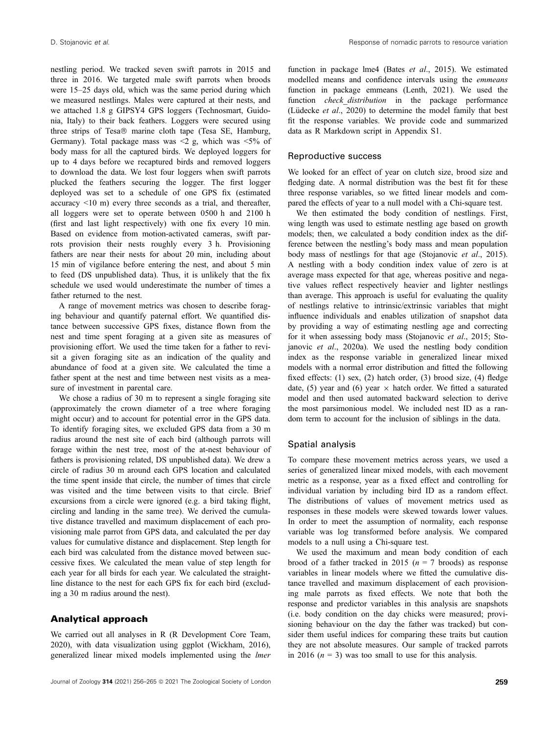nestling period. We tracked seven swift parrots in 2015 and three in 2016. We targeted male swift parrots when broods were 15–25 days old, which was the same period during which we measured nestlings. Males were captured at their nests, and we attached 1.8 g GIPSY4 GPS loggers (Technosmart, Guidonia, Italy) to their back feathers. Loggers were secured using three strips of Tesa® marine cloth tape (Tesa SE, Hamburg, Germany). Total package mass was  $\leq 2$  g, which was  $\leq 5\%$  of body mass for all the captured birds. We deployed loggers for up to 4 days before we recaptured birds and removed loggers to download the data. We lost four loggers when swift parrots plucked the feathers securing the logger. The first logger deployed was set to a schedule of one GPS fix (estimated accuracy <10 m) every three seconds as a trial, and thereafter, all loggers were set to operate between 0500 h and 2100 h (first and last light respectively) with one fix every 10 min. Based on evidence from motion-activated cameras, swift parrots provision their nests roughly every 3 h. Provisioning fathers are near their nests for about 20 min, including about 15 min of vigilance before entering the nest, and about 5 min to feed (DS unpublished data). Thus, it is unlikely that the fix schedule we used would underestimate the number of times a father returned to the nest.

A range of movement metrics was chosen to describe foraging behaviour and quantify paternal effort. We quantified distance between successive GPS fixes, distance flown from the nest and time spent foraging at a given site as measures of provisioning effort. We used the time taken for a father to revisit a given foraging site as an indication of the quality and abundance of food at a given site. We calculated the time a father spent at the nest and time between nest visits as a measure of investment in parental care.

We chose a radius of 30 m to represent a single foraging site (approximately the crown diameter of a tree where foraging might occur) and to account for potential error in the GPS data. To identify foraging sites, we excluded GPS data from a 30 m radius around the nest site of each bird (although parrots will forage within the nest tree, most of the at-nest behaviour of fathers is provisioning related, DS unpublished data). We drew a circle of radius 30 m around each GPS location and calculated the time spent inside that circle, the number of times that circle was visited and the time between visits to that circle. Brief excursions from a circle were ignored (e.g. a bird taking flight, circling and landing in the same tree). We derived the cumulative distance travelled and maximum displacement of each provisioning male parrot from GPS data, and calculated the per day values for cumulative distance and displacement. Step length for each bird was calculated from the distance moved between successive fixes. We calculated the mean value of step length for each year for all birds for each year. We calculated the straightline distance to the nest for each GPS fix for each bird (excluding a 30 m radius around the nest).

#### Analytical approach

We carried out all analyses in R (R Development Core Team, 2020), with data visualization using ggplot (Wickham, 2016), generalized linear mixed models implemented using the lmer

function in package lme4 (Bates et al., 2015). We estimated modelled means and confidence intervals using the emmeans function in package emmeans (Lenth, 2021). We used the function *check distribution* in the package performance (Lüdecke et al., 2020) to determine the model family that best fit the response variables. We provide code and summarized data as R Markdown script in Appendix S1.

#### Reproductive success

We looked for an effect of year on clutch size, brood size and fledging date. A normal distribution was the best fit for these three response variables, so we fitted linear models and compared the effects of year to a null model with a Chi-square test.

We then estimated the body condition of nestlings. First, wing length was used to estimate nestling age based on growth models; then, we calculated a body condition index as the difference between the nestling's body mass and mean population body mass of nestlings for that age (Stojanovic et al., 2015). A nestling with a body condition index value of zero is at average mass expected for that age, whereas positive and negative values reflect respectively heavier and lighter nestlings than average. This approach is useful for evaluating the quality of nestlings relative to intrinsic/extrinsic variables that might influence individuals and enables utilization of snapshot data by providing a way of estimating nestling age and correcting for it when assessing body mass (Stojanovic et al., 2015; Stojanovic et al., 2020a). We used the nestling body condition index as the response variable in generalized linear mixed models with a normal error distribution and fitted the following fixed effects: (1) sex, (2) hatch order, (3) brood size, (4) fledge date, (5) year and (6) year  $\times$  hatch order. We fitted a saturated model and then used automated backward selection to derive the most parsimonious model. We included nest ID as a random term to account for the inclusion of siblings in the data.

#### Spatial analysis

To compare these movement metrics across years, we used a series of generalized linear mixed models, with each movement metric as a response, year as a fixed effect and controlling for individual variation by including bird ID as a random effect. The distributions of values of movement metrics used as responses in these models were skewed towards lower values. In order to meet the assumption of normality, each response variable was log transformed before analysis. We compared models to a null using a Chi-square test.

We used the maximum and mean body condition of each brood of a father tracked in 2015 ( $n = 7$  broods) as response variables in linear models where we fitted the cumulative distance travelled and maximum displacement of each provisioning male parrots as fixed effects. We note that both the response and predictor variables in this analysis are snapshots (i.e. body condition on the day chicks were measured; provisioning behaviour on the day the father was tracked) but consider them useful indices for comparing these traits but caution they are not absolute measures. Our sample of tracked parrots in 2016 ( $n = 3$ ) was too small to use for this analysis.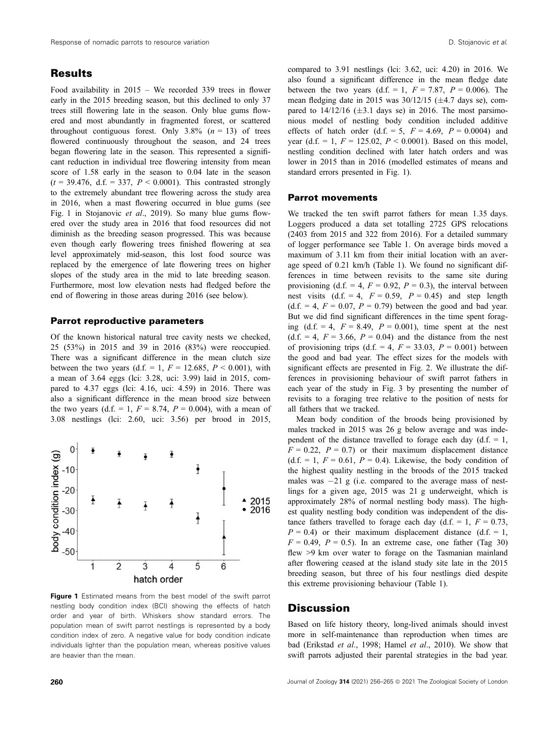## **Results**

Food availability in 2015 – We recorded 339 trees in flower early in the 2015 breeding season, but this declined to only 37 trees still flowering late in the season. Only blue gums flowered and most abundantly in fragmented forest, or scattered throughout contiguous forest. Only  $3.8\%$  ( $n = 13$ ) of trees flowered continuously throughout the season, and 24 trees began flowering late in the season. This represented a significant reduction in individual tree flowering intensity from mean score of 1.58 early in the season to 0.04 late in the season  $(t = 39.476, d.f. = 337, P < 0.0001)$ . This contrasted strongly to the extremely abundant tree flowering across the study area in 2016, when a mast flowering occurred in blue gums (see Fig. 1 in Stojanovic et al., 2019). So many blue gums flowered over the study area in 2016 that food resources did not diminish as the breeding season progressed. This was because even though early flowering trees finished flowering at sea level approximately mid-season, this lost food source was replaced by the emergence of late flowering trees on higher slopes of the study area in the mid to late breeding season. Furthermore, most low elevation nests had fledged before the end of flowering in those areas during 2016 (see below).

#### Parrot reproductive parameters

Of the known historical natural tree cavity nests we checked, 25 (53%) in 2015 and 39 in 2016 (83%) were reoccupied. There was a significant difference in the mean clutch size between the two years (d.f. = 1,  $F = 12.685$ ,  $P < 0.001$ ), with a mean of 3.64 eggs (lci: 3.28, uci: 3.99) laid in 2015, compared to 4.37 eggs (lci: 4.16, uci: 4.59) in 2016. There was also a significant difference in the mean brood size between the two years (d.f. = 1,  $F = 8.74$ ,  $P = 0.004$ ), with a mean of 3.08 nestlings (lci: 2.60, uci: 3.56) per brood in 2015,



Figure 1 Estimated means from the best model of the swift parrot nestling body condition index (BCI) showing the effects of hatch order and year of birth. Whiskers show standard errors. The population mean of swift parrot nestlings is represented by a body condition index of zero. A negative value for body condition indicate individuals lighter than the population mean, whereas positive values are heavier than the mean.

compared to 3.91 nestlings (lci: 3.62, uci: 4.20) in 2016. We also found a significant difference in the mean fledge date between the two years (d.f. = 1,  $F = 7.87$ ,  $P = 0.006$ ). The mean fledging date in 2015 was  $30/12/15$  ( $\pm$ 4.7 days se), compared to  $14/12/16$  ( $\pm 3.1$  days se) in 2016. The most parsimonious model of nestling body condition included additive effects of hatch order (d.f. = 5,  $F = 4.69$ ,  $P = 0.0004$ ) and year (d.f. = 1,  $F = 125.02$ ,  $P < 0.0001$ ). Based on this model, nestling condition declined with later hatch orders and was lower in 2015 than in 2016 (modelled estimates of means and standard errors presented in Fig. 1).

#### Parrot movements

We tracked the ten swift parrot fathers for mean 1.35 days. Loggers produced a data set totalling 2725 GPS relocations (2403 from 2015 and 322 from 2016). For a detailed summary of logger performance see Table 1. On average birds moved a maximum of 3.11 km from their initial location with an average speed of 0.21 km/h (Table 1). We found no significant differences in time between revisits to the same site during provisioning (d.f. = 4,  $F = 0.92$ ,  $P = 0.3$ ), the interval between nest visits  $(d.f. = 4, F = 0.59, P = 0.45)$  and step length  $(d.f. = 4, F = 0.07, P = 0.79)$  between the good and bad year. But we did find significant differences in the time spent foraging (d.f.  $= 4$ ,  $F = 8.49$ ,  $P = 0.001$ ), time spent at the nest  $(d.f. = 4, F = 3.66, P = 0.04)$  and the distance from the nest of provisioning trips (d.f. = 4,  $F = 33.03$ ,  $P = 0.001$ ) between the good and bad year. The effect sizes for the models with significant effects are presented in Fig. 2. We illustrate the differences in provisioning behaviour of swift parrot fathers in each year of the study in Fig. 3 by presenting the number of revisits to a foraging tree relative to the position of nests for all fathers that we tracked.

Mean body condition of the broods being provisioned by males tracked in 2015 was 26 g below average and was independent of the distance travelled to forage each day  $(d.f. = 1,$  $F = 0.22$ ,  $P = 0.7$  or their maximum displacement distance (d.f. = 1,  $F = 0.61$ ,  $P = 0.4$ ). Likewise, the body condition of the highest quality nestling in the broods of the 2015 tracked males was  $-21$  g (i.e. compared to the average mass of nestlings for a given age, 2015 was 21 g underweight, which is approximately 28% of normal nestling body mass). The highest quality nestling body condition was independent of the distance fathers travelled to forage each day (d.f. = 1,  $F = 0.73$ ,  $P = 0.4$ ) or their maximum displacement distance (d.f. = 1,  $F = 0.49$ ,  $P = 0.5$ ). In an extreme case, one father (Tag 30) flew >9 km over water to forage on the Tasmanian mainland after flowering ceased at the island study site late in the 2015 breeding season, but three of his four nestlings died despite this extreme provisioning behaviour (Table 1).

#### **Discussion**

Based on life history theory, long-lived animals should invest more in self-maintenance than reproduction when times are bad (Erikstad et al., 1998; Hamel et al., 2010). We show that swift parrots adjusted their parental strategies in the bad year.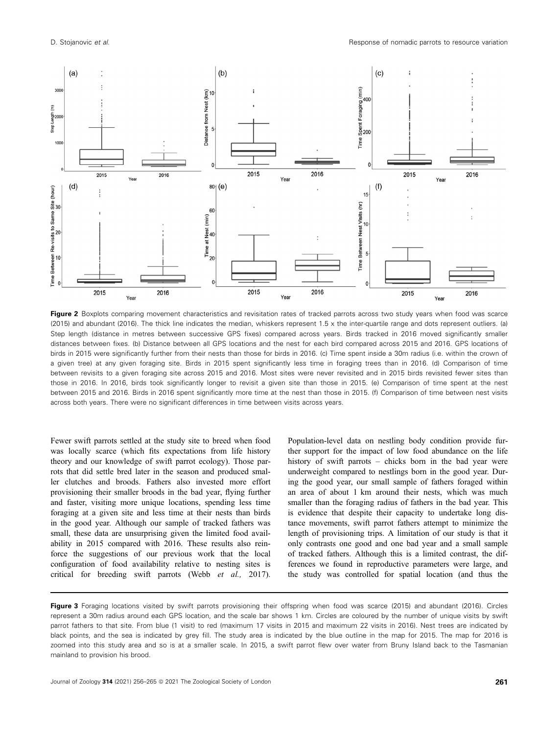

Figure 2 Boxplots comparing movement characteristics and revisitation rates of tracked parrots across two study years when food was scarce (2015) and abundant (2016). The thick line indicates the median, whiskers represent 1.5 x the inter-quartile range and dots represent outliers. (a) Step length (distance in metres between successive GPS fixes) compared across years. Birds tracked in 2016 moved significantly smaller distances between fixes. (b) Distance between all GPS locations and the nest for each bird compared across 2015 and 2016. GPS locations of birds in 2015 were significantly further from their nests than those for birds in 2016. (c) Time spent inside a 30m radius (i.e. within the crown of a given tree) at any given foraging site. Birds in 2015 spent significantly less time in foraging trees than in 2016. (d) Comparison of time between revisits to a given foraging site across 2015 and 2016. Most sites were never revisited and in 2015 birds revisited fewer sites than those in 2016. In 2016, birds took significantly longer to revisit a given site than those in 2015. (e) Comparison of time spent at the nest between 2015 and 2016. Birds in 2016 spent significantly more time at the nest than those in 2015. (f) Comparison of time between nest visits across both years. There were no significant differences in time between visits across years.

Fewer swift parrots settled at the study site to breed when food was locally scarce (which fits expectations from life history theory and our knowledge of swift parrot ecology). Those parrots that did settle bred later in the season and produced smaller clutches and broods. Fathers also invested more effort provisioning their smaller broods in the bad year, flying further and faster, visiting more unique locations, spending less time foraging at a given site and less time at their nests than birds in the good year. Although our sample of tracked fathers was small, these data are unsurprising given the limited food availability in 2015 compared with 2016. These results also reinforce the suggestions of our previous work that the local configuration of food availability relative to nesting sites is critical for breeding swift parrots (Webb et al., 2017).

Population-level data on nestling body condition provide further support for the impact of low food abundance on the life history of swift parrots – chicks born in the bad year were underweight compared to nestlings born in the good year. During the good year, our small sample of fathers foraged within an area of about 1 km around their nests, which was much smaller than the foraging radius of fathers in the bad year. This is evidence that despite their capacity to undertake long distance movements, swift parrot fathers attempt to minimize the length of provisioning trips. A limitation of our study is that it only contrasts one good and one bad year and a small sample of tracked fathers. Although this is a limited contrast, the differences we found in reproductive parameters were large, and the study was controlled for spatial location (and thus the

Figure 3 Foraging locations visited by swift parrots provisioning their offspring when food was scarce (2015) and abundant (2016). Circles represent a 30m radius around each GPS location, and the scale bar shows 1 km. Circles are coloured by the number of unique visits by swift parrot fathers to that site. From blue (1 visit) to red (maximum 17 visits in 2015 and maximum 22 visits in 2016). Nest trees are indicated by black points, and the sea is indicated by grey fill. The study area is indicated by the blue outline in the map for 2015. The map for 2016 is zoomed into this study area and so is at a smaller scale. In 2015, a swift parrot flew over water from Bruny Island back to the Tasmanian mainland to provision his brood.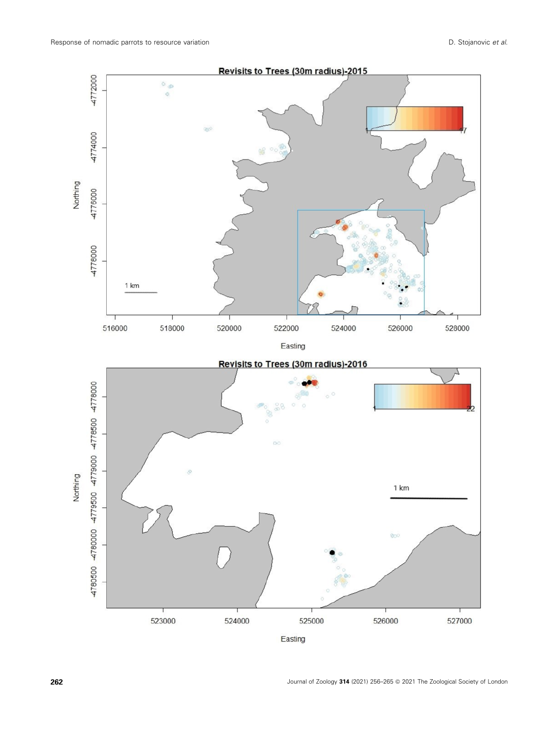

Easting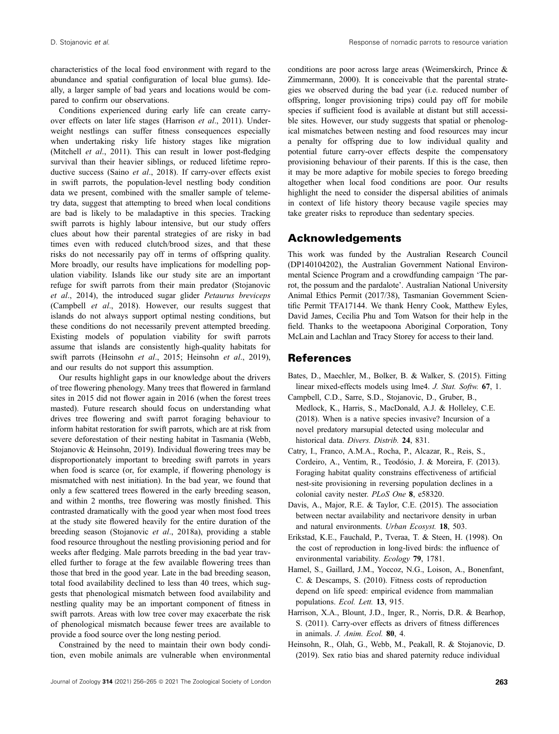characteristics of the local food environment with regard to the abundance and spatial configuration of local blue gums). Ideally, a larger sample of bad years and locations would be compared to confirm our observations.

Conditions experienced during early life can create carryover effects on later life stages (Harrison et al., 2011). Underweight nestlings can suffer fitness consequences especially when undertaking risky life history stages like migration (Mitchell *et al.*, 2011). This can result in lower post-fledging survival than their heavier siblings, or reduced lifetime reproductive success (Saino et al., 2018). If carry-over effects exist in swift parrots, the population-level nestling body condition data we present, combined with the smaller sample of telemetry data, suggest that attempting to breed when local conditions are bad is likely to be maladaptive in this species. Tracking swift parrots is highly labour intensive, but our study offers clues about how their parental strategies of are risky in bad times even with reduced clutch/brood sizes, and that these risks do not necessarily pay off in terms of offspring quality. More broadly, our results have implications for modelling population viability. Islands like our study site are an important refuge for swift parrots from their main predator (Stojanovic et al., 2014), the introduced sugar glider Petaurus breviceps (Campbell et al., 2018). However, our results suggest that islands do not always support optimal nesting conditions, but these conditions do not necessarily prevent attempted breeding. Existing models of population viability for swift parrots assume that islands are consistently high-quality habitats for swift parrots (Heinsohn et al., 2015; Heinsohn et al., 2019), and our results do not support this assumption.

Our results highlight gaps in our knowledge about the drivers of tree flowering phenology. Many trees that flowered in farmland sites in 2015 did not flower again in 2016 (when the forest trees masted). Future research should focus on understanding what drives tree flowering and swift parrot foraging behaviour to inform habitat restoration for swift parrots, which are at risk from severe deforestation of their nesting habitat in Tasmania (Webb, Stojanovic & Heinsohn, 2019). Individual flowering trees may be disproportionately important to breeding swift parrots in years when food is scarce (or, for example, if flowering phenology is mismatched with nest initiation). In the bad year, we found that only a few scattered trees flowered in the early breeding season, and within 2 months, tree flowering was mostly finished. This contrasted dramatically with the good year when most food trees at the study site flowered heavily for the entire duration of the breeding season (Stojanovic et al., 2018a), providing a stable food resource throughout the nestling provisioning period and for weeks after fledging. Male parrots breeding in the bad year travelled further to forage at the few available flowering trees than those that bred in the good year. Late in the bad breeding season, total food availability declined to less than 40 trees, which suggests that phenological mismatch between food availability and nestling quality may be an important component of fitness in swift parrots. Areas with low tree cover may exacerbate the risk of phenological mismatch because fewer trees are available to provide a food source over the long nesting period.

Constrained by the need to maintain their own body condition, even mobile animals are vulnerable when environmental

conditions are poor across large areas (Weimerskirch, Prince & Zimmermann, 2000). It is conceivable that the parental strategies we observed during the bad year (i.e. reduced number of offspring, longer provisioning trips) could pay off for mobile species if sufficient food is available at distant but still accessible sites. However, our study suggests that spatial or phenological mismatches between nesting and food resources may incur a penalty for offspring due to low individual quality and potential future carry-over effects despite the compensatory provisioning behaviour of their parents. If this is the case, then it may be more adaptive for mobile species to forego breeding altogether when local food conditions are poor. Our results highlight the need to consider the dispersal abilities of animals in context of life history theory because vagile species may take greater risks to reproduce than sedentary species.

#### Acknowledgements

This work was funded by the Australian Research Council (DP140104202), the Australian Government National Environmental Science Program and a crowdfunding campaign 'The parrot, the possum and the pardalote'. Australian National University Animal Ethics Permit (2017/38), Tasmanian Government Scientific Permit TFA17144. We thank Henry Cook, Matthew Eyles, David James, Cecilia Phu and Tom Watson for their help in the field. Thanks to the weetapoona Aboriginal Corporation, Tony McLain and Lachlan and Tracy Storey for access to their land.

## References

- Bates, D., Maechler, M., Bolker, B. & Walker, S. (2015). Fitting linear mixed-effects models using lme4. J. Stat. Softw. 67, 1.
- Campbell, C.D., Sarre, S.D., Stojanovic, D., Gruber, B., Medlock, K., Harris, S., MacDonald, A.J. & Holleley, C.E. (2018). When is a native species invasive? Incursion of a novel predatory marsupial detected using molecular and historical data. Divers. Distrib. 24, 831.
- Catry, I., Franco, A.M.A., Rocha, P., Alcazar, R., Reis, S., Cordeiro, A., Ventim, R., Teodósio, J. & Moreira, F. (2013). Foraging habitat quality constrains effectiveness of artificial nest-site provisioning in reversing population declines in a colonial cavity nester. PLoS One 8, e58320.
- Davis, A., Major, R.E. & Taylor, C.E. (2015). The association between nectar availability and nectarivore density in urban and natural environments. Urban Ecosyst. 18, 503.
- Erikstad, K.E., Fauchald, P., Tveraa, T. & Steen, H. (1998). On the cost of reproduction in long-lived birds: the influence of environmental variability. Ecology 79, 1781.
- Hamel, S., Gaillard, J.M., Yoccoz, N.G., Loison, A., Bonenfant, C. & Descamps, S. (2010). Fitness costs of reproduction depend on life speed: empirical evidence from mammalian populations. Ecol. Lett. 13, 915.
- Harrison, X.A., Blount, J.D., Inger, R., Norris, D.R. & Bearhop, S. (2011). Carry-over effects as drivers of fitness differences in animals. J. Anim. Ecol. 80, 4.
- Heinsohn, R., Olah, G., Webb, M., Peakall, R. & Stojanovic, D. (2019). Sex ratio bias and shared paternity reduce individual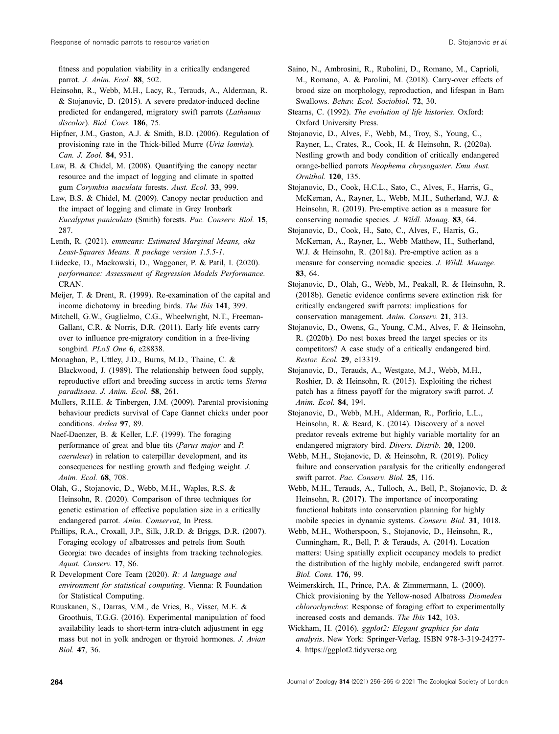fitness and population viability in a critically endangered parrot. J. Anim. Ecol. 88, 502.

Heinsohn, R., Webb, M.H., Lacy, R., Terauds, A., Alderman, R. & Stojanovic, D. (2015). A severe predator-induced decline predicted for endangered, migratory swift parrots (Lathamus discolor). Biol. Cons. 186, 75.

Hipfner, J.M., Gaston, A.J. & Smith, B.D. (2006). Regulation of provisioning rate in the Thick-billed Murre (Uria lomvia). Can. J. Zool. 84, 931.

Law, B. & Chidel, M. (2008). Quantifying the canopy nectar resource and the impact of logging and climate in spotted gum Corymbia maculata forests. Aust. Ecol. 33, 999.

Law, B.S. & Chidel, M. (2009). Canopy nectar production and the impact of logging and climate in Grey Ironbark Eucalyptus paniculata (Smith) forests. Pac. Conserv. Biol. 15, 287.

Lenth, R. (2021). emmeans: Estimated Marginal Means, aka Least-Squares Means. R package version 1.5.5-1.

Lüdecke, D., Mackowski, D., Waggoner, P. & Patil, I. (2020). performance: Assessment of Regression Models Performance. CRAN.

Meijer, T. & Drent, R. (1999). Re-examination of the capital and income dichotomy in breeding birds. The Ibis 141, 399.

Mitchell, G.W., Guglielmo, C.G., Wheelwright, N.T., Freeman-Gallant, C.R. & Norris, D.R. (2011). Early life events carry over to influence pre-migratory condition in a free-living songbird. PLoS One 6, e28838.

Monaghan, P., Uttley, J.D., Burns, M.D., Thaine, C. & Blackwood, J. (1989). The relationship between food supply, reproductive effort and breeding success in arctic terns Sterna paradisaea. J. Anim. Ecol. 58, 261.

Mullers, R.H.E. & Tinbergen, J.M. (2009). Parental provisioning behaviour predicts survival of Cape Gannet chicks under poor conditions. Ardea 97, 89.

Naef-Daenzer, B. & Keller, L.F. (1999). The foraging performance of great and blue tits (Parus major and P. caeruleus) in relation to caterpillar development, and its consequences for nestling growth and fledging weight. J. Anim. Ecol. 68, 708.

Olah, G., Stojanovic, D., Webb, M.H., Waples, R.S. & Heinsohn, R. (2020). Comparison of three techniques for genetic estimation of effective population size in a critically endangered parrot. Anim. Conservat, In Press.

Phillips, R.A., Croxall, J.P., Silk, J.R.D. & Briggs, D.R. (2007). Foraging ecology of albatrosses and petrels from South Georgia: two decades of insights from tracking technologies. Aquat. Conserv. 17, S6.

R Development Core Team (2020). R: A language and environment for statistical computing. Vienna: R Foundation for Statistical Computing.

Ruuskanen, S., Darras, V.M., de Vries, B., Visser, M.E. & Groothuis, T.G.G. (2016). Experimental manipulation of food availability leads to short-term intra-clutch adjustment in egg mass but not in yolk androgen or thyroid hormones. J. Avian Biol. 47, 36.

Saino, N., Ambrosini, R., Rubolini, D., Romano, M., Caprioli, M., Romano, A. & Parolini, M. (2018). Carry-over effects of brood size on morphology, reproduction, and lifespan in Barn Swallows. Behav. Ecol. Sociobiol. 72, 30.

Stearns, C. (1992). The evolution of life histories. Oxford: Oxford University Press.

Stojanovic, D., Alves, F., Webb, M., Troy, S., Young, C., Rayner, L., Crates, R., Cook, H. & Heinsohn, R. (2020a). Nestling growth and body condition of critically endangered orange-bellied parrots Neophema chrysogaster. Emu Aust. Ornithol. 120, 135.

Stojanovic, D., Cook, H.C.L., Sato, C., Alves, F., Harris, G., McKernan, A., Rayner, L., Webb, M.H., Sutherland, W.J. & Heinsohn, R. (2019). Pre-emptive action as a measure for conserving nomadic species. J. Wildl. Manag. 83, 64.

Stojanovic, D., Cook, H., Sato, C., Alves, F., Harris, G., McKernan, A., Rayner, L., Webb Matthew, H., Sutherland, W.J. & Heinsohn, R. (2018a). Pre-emptive action as a measure for conserving nomadic species. J. Wildl. Manage. 83, 64.

Stojanovic, D., Olah, G., Webb, M., Peakall, R. & Heinsohn, R. (2018b). Genetic evidence confirms severe extinction risk for critically endangered swift parrots: implications for conservation management. Anim. Conserv. 21, 313.

Stojanovic, D., Owens, G., Young, C.M., Alves, F. & Heinsohn, R. (2020b). Do nest boxes breed the target species or its competitors? A case study of a critically endangered bird. Restor. Ecol. 29, e13319.

Stojanovic, D., Terauds, A., Westgate, M.J., Webb, M.H., Roshier, D. & Heinsohn, R. (2015). Exploiting the richest patch has a fitness payoff for the migratory swift parrot. J. Anim. Ecol. 84, 194.

Stojanovic, D., Webb, M.H., Alderman, R., Porfirio, L.L., Heinsohn, R. & Beard, K. (2014). Discovery of a novel predator reveals extreme but highly variable mortality for an endangered migratory bird. Divers. Distrib. 20, 1200.

Webb, M.H., Stojanovic, D. & Heinsohn, R. (2019). Policy failure and conservation paralysis for the critically endangered swift parrot. Pac. Conserv. Biol. 25, 116.

Webb, M.H., Terauds, A., Tulloch, A., Bell, P., Stojanovic, D. & Heinsohn, R. (2017). The importance of incorporating functional habitats into conservation planning for highly mobile species in dynamic systems. Conserv. Biol. 31, 1018.

Webb, M.H., Wotherspoon, S., Stojanovic, D., Heinsohn, R., Cunningham, R., Bell, P. & Terauds, A. (2014). Location matters: Using spatially explicit occupancy models to predict the distribution of the highly mobile, endangered swift parrot. Biol. Cons. 176, 99.

Weimerskirch, H., Prince, P.A. & Zimmermann, L. (2000). Chick provisioning by the Yellow-nosed Albatross Diomedea chlororhynchos: Response of foraging effort to experimentally increased costs and demands. The Ibis 142, 103.

Wickham, H. (2016). ggplot2: Elegant graphics for data analysis. New York: Springer-Verlag. ISBN 978-3-319-24277- 4.<https://ggplot2.tidyverse.org>